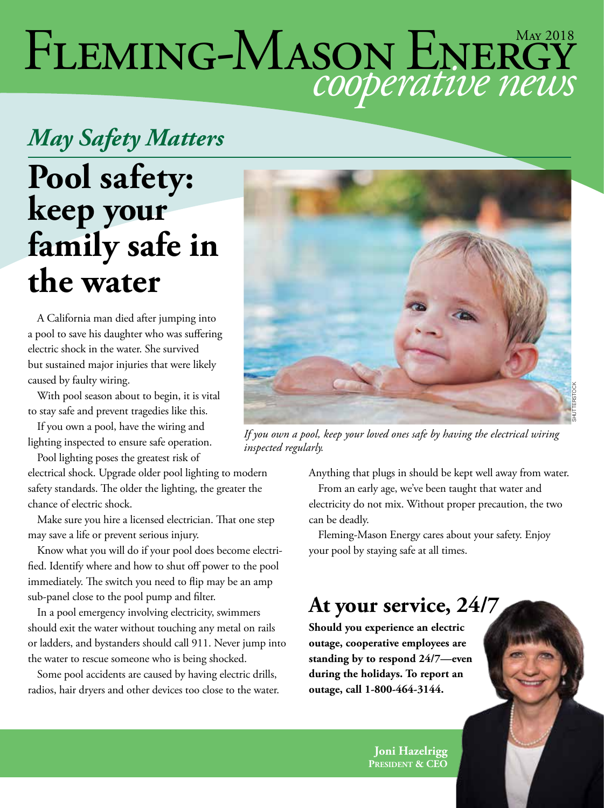# *cooperative news* FLEMING-MASON ENERGY

### *May Safety Matters*

## **Pool safety: keep your family safe in the water**

A California man died after jumping into a pool to save his daughter who was suffering electric shock in the water. She survived but sustained major injuries that were likely caused by faulty wiring.

With pool season about to begin, it is vital to stay safe and prevent tragedies like this.

If you own a pool, have the wiring and lighting inspected to ensure safe operation.

Pool lighting poses the greatest risk of electrical shock. Upgrade older pool lighting to modern safety standards. The older the lighting, the greater the chance of electric shock.

Make sure you hire a licensed electrician. That one step may save a life or prevent serious injury.

Know what you will do if your pool does become electrified. Identify where and how to shut off power to the pool immediately. The switch you need to flip may be an amp sub-panel close to the pool pump and filter.

In a pool emergency involving electricity, swimmers should exit the water without touching any metal on rails or ladders, and bystanders should call 911. Never jump into the water to rescue someone who is being shocked.

Some pool accidents are caused by having electric drills, radios, hair dryers and other devices too close to the water.



*If you own a pool, keep your loved ones safe by having the electrical wiring inspected regularly.*

Anything that plugs in should be kept well away from water.

From an early age, we've been taught that water and electricity do not mix. Without proper precaution, the two can be deadly.

Fleming-Mason Energy cares about your safety. Enjoy your pool by staying safe at all times.

### **At your service, 24/7**

**Should you experience an electric outage, cooperative employees are standing by to respond 24/7—even during the holidays. To report an outage, call 1-800-464-3144.**

> **Joni Hazelrigg President & CEO**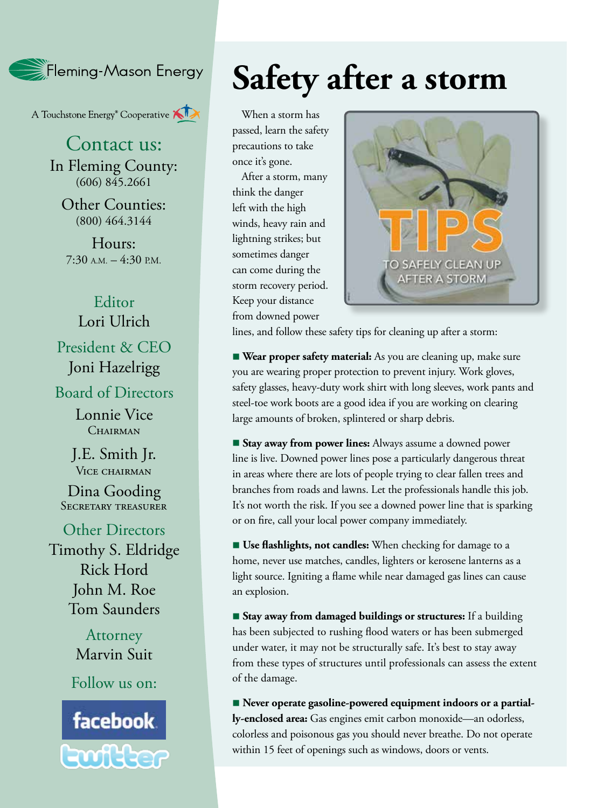Fleming-Mason Energy

A Touchstone Energy<sup>®</sup> Cooperative A

Contact us: In Fleming County: (606) 845.2661

Other Counties: (800) 464.3144

Hours: 7:30 A.M. – 4:30 P.M.

Editor Lori Ulrich

President & CEO Joni Hazelrigg

Board of Directors

Lonnie Vice CHAIRMAN

J.E. Smith Jr. VICE CHAIRMAN

Dina Gooding Secretary treasurer

Other Directors Timothy S. Eldridge Rick Hord John M. Roe Tom Saunders

> **Attorney** Marvin Suit

Follow us on:



## **Safety after a storm**

When a storm has passed, learn the safety precautions to take once it's gone.

After a storm, many think the danger left with the high winds, heavy rain and lightning strikes; but sometimes danger can come during the storm recovery period. Keep your distance from downed power



lines, and follow these safety tips for cleaning up after a storm:

**Near proper safety material:** As you are cleaning up, make sure you are wearing proper protection to prevent injury. Work gloves, safety glasses, heavy-duty work shirt with long sleeves, work pants and steel-toe work boots are a good idea if you are working on clearing large amounts of broken, splintered or sharp debris.

**Example 3 Stay away from power lines:** Always assume a downed power line is live. Downed power lines pose a particularly dangerous threat in areas where there are lots of people trying to clear fallen trees and branches from roads and lawns. Let the professionals handle this job. It's not worth the risk. If you see a downed power line that is sparking or on fire, call your local power company immediately.

**n Use flashlights, not candles:** When checking for damage to a home, never use matches, candles, lighters or kerosene lanterns as a light source. Igniting a flame while near damaged gas lines can cause an explosion.

n **Stay away from damaged buildings or structures:** If a building has been subjected to rushing flood waters or has been submerged under water, it may not be structurally safe. It's best to stay away from these types of structures until professionals can assess the extent of the damage.

 $\blacksquare$  Never operate gasoline-powered equipment indoors or a partial**ly-enclosed area:** Gas engines emit carbon monoxide—an odorless, colorless and poisonous gas you should never breathe. Do not operate within 15 feet of openings such as windows, doors or vents.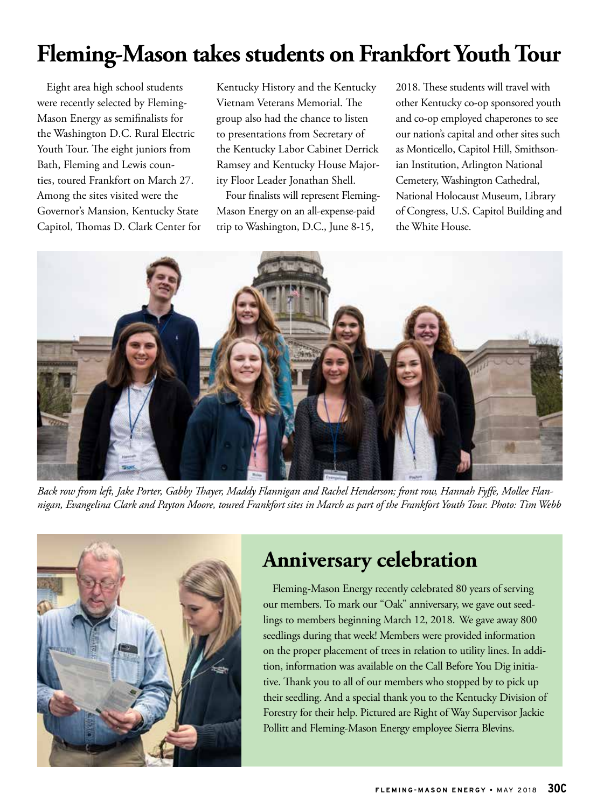### **Fleming-Mason takes students on Frankfort Youth Tour**

Eight area high school students were recently selected by Fleming-Mason Energy as semifinalists for the Washington D.C. Rural Electric Youth Tour. The eight juniors from Bath, Fleming and Lewis counties, toured Frankfort on March 27. Among the sites visited were the Governor's Mansion, Kentucky State Capitol, Thomas D. Clark Center for Kentucky History and the Kentucky Vietnam Veterans Memorial. The group also had the chance to listen to presentations from Secretary of the Kentucky Labor Cabinet Derrick Ramsey and Kentucky House Majority Floor Leader Jonathan Shell.

Four finalists will represent Fleming-Mason Energy on an all-expense-paid trip to Washington, D.C., June 8-15,

2018. These students will travel with other Kentucky co-op sponsored youth and co-op employed chaperones to see our nation's capital and other sites such as Monticello, Capitol Hill, Smithsonian Institution, Arlington National Cemetery, Washington Cathedral, National Holocaust Museum, Library of Congress, U.S. Capitol Building and the White House.



*Back row from left, Jake Porter, Gabby Thayer, Maddy Flannigan and Rachel Henderson; front row, Hannah Fyffe, Mollee Flannigan, Evangelina Clark and Payton Moore, toured Frankfort sites in March as part of the Frankfort Youth Tour. Photo: Tim Webb*



#### **Anniversary celebration**

Fleming-Mason Energy recently celebrated 80 years of serving our members. To mark our "Oak" anniversary, we gave out seedlings to members beginning March 12, 2018. We gave away 800 seedlings during that week! Members were provided information on the proper placement of trees in relation to utility lines. In addition, information was available on the Call Before You Dig initiative. Thank you to all of our members who stopped by to pick up their seedling. And a special thank you to the Kentucky Division of Forestry for their help. Pictured are Right of Way Supervisor Jackie Pollitt and Fleming-Mason Energy employee Sierra Blevins.